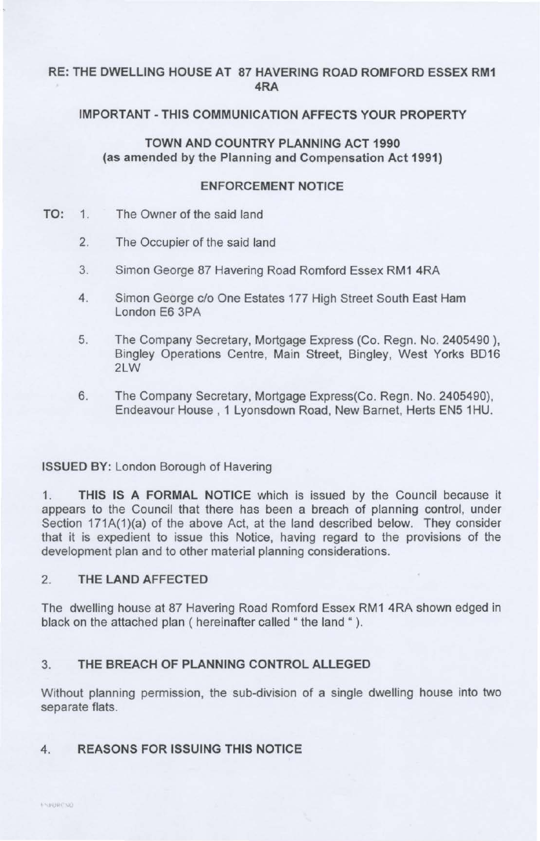## **RE: THE DWELLING HOUSE AT 87 HAVERING ROAD ROMFORD ESSEX RM1 4RA**

# **IMPORTANT - THIS COMMUNICATION AFFECTS YOUR PROPERTY**

## **TOWN AND COUNTRY PLANNING ACT 1990** (as **amended by the Planning and Compensation Act 1991)**

### **ENFORCEMENT NOTICE**

- **TO:** 1. The Owner of the said land
	- 2. The Occupier of the said land
	- 3. Simon George 87 Havering Road Romford Essex RM1 4RA
	- 4. Simon George c/o One Estates 177 High Street South East Ham London E6 3PA
	- 5. The Company Secretary, Mortgage Express (Co. Regn. No. 2405490), Bingley Operations Centre, Main Street, Bingley, West Yorks BD16 2LW
	- 6. The Company Secretary, Mortgage Express(Co. Regn. No. 2405490), Endeavour House , 1 Lyonsdown Road, New Barnet, Herts EN5 1 HU.

### **ISSUED BY:** London Borough of Havering

1. **THIS IS A FORMAL NOTICE** which is issued by the Council because it appears to the Council that there has been a breach of planning control, under Section 171A(1)(a) of the above Act, at the land described below. They consider that it is expedient to issue this Notice, having regard to the provisions of the development plan and to other material planning considerations.

### 2. **THE LAND AFFECTED**

The dwelling house at 87 Havering Road Romford Essex RM1 4RA shown edged in black on the attached plan ( hereinafter called "the land ").

### 3. **THE BREACH OF PLANNING CONTROL ALLEGED**

Without planning permission, the sub-division of a single dwelling house into two separate flats.

### **4. REASONS FOR ISSUING THIS NOTICE**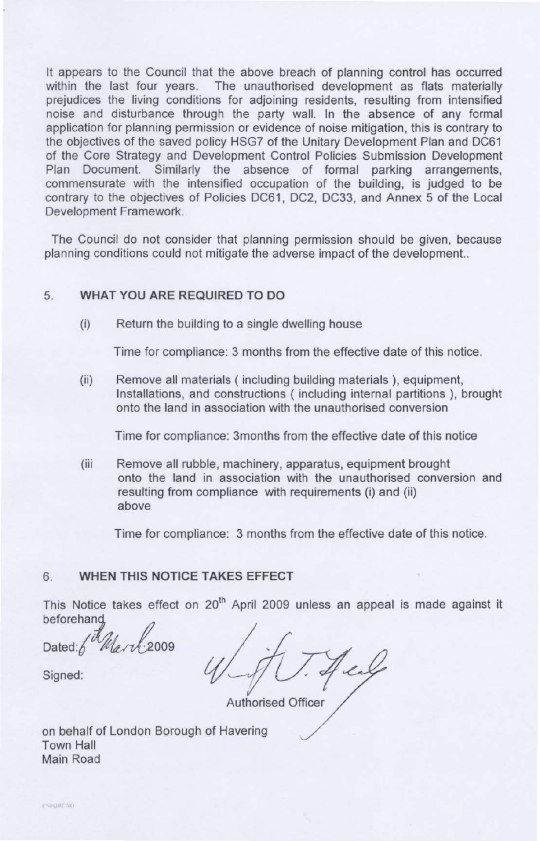It appears to the Council that the above breach of planning control has occurred within the last four years. The unauthorised development as flats materially prejudices the living conditions for adjoining residents, resulting from intensified noise and disturbance through the party wall. In the absence of any formal application for planning permission or evidence of noise mitigation, this is contrary to the objectives of the saved policy HSG7 of the Unitary Development Plan and DC61 of the Core Strategy and Development Control Policies Submission Development Plan Document. Similarly the absence of formal parking arrangements, commensurate with the intensified occupation of the building, is judged to be contrary to the objectives of Policies DC61, DC2, DC33, and Annex 5 of the Local Development Framework.

The Council do not consider that planning permission should be given, because planning conditions could not mitigate the adverse impact of the development..

## 5. **WHAT YOU ARE REQUIRED TO DO**

(i) Return the building to a single dwelling house

Time for compliance: 3 months from the effective date of this notice.

(ii) Remove all materials ( including building materials ), equipment, Installations, and constructions ( including internal partitions ), brought onto the land in association with the unauthorised conversion

Time for compliance: 3months from the effective date of this notice

(iii Remove all rubble, machinery, apparatus, equipment brought onto the land in association with the unauthorised conversion and resulting from compliance with requirements (i) and (ii) above

Time for compliance: 3 months from the effective date of this notice.

#### 6. **WHEN THIS NOTICE TAKES EFFECT**

This Notice takes effect on 20<sup>th</sup> April 2009 unless an appeal is made against it beforehand

Dated:

Authorised Officer

Signed:

on behalf of London Borough of Havering Town Hall Main Road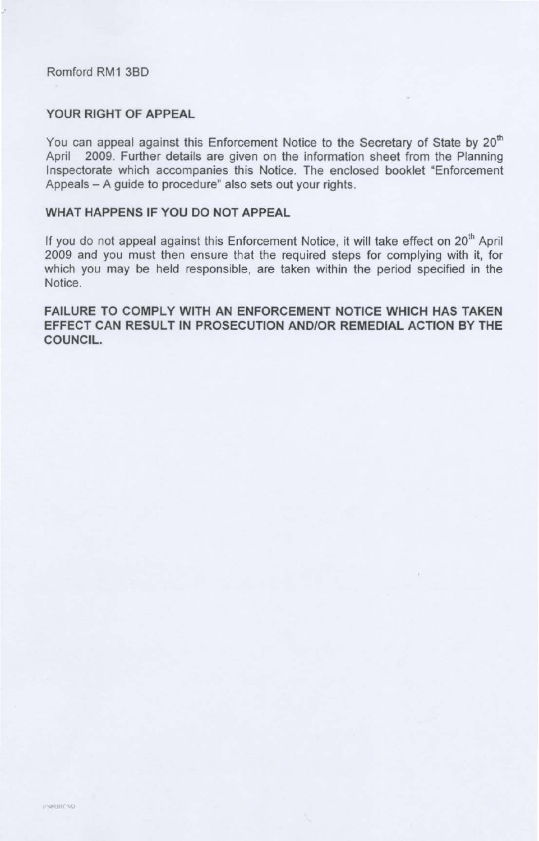#### Romford RM1 380

.;

#### YOUR RIGHT OF APPEAL

You can appeal against this Enforcement Notice to the Secretary of State by 20<sup>th</sup> April 2009. Further details are given on the information sheet from the Planning Inspectorate which accompanies this Notice. The enclosed booklet "Enforcement Appeals - A guide to procedure" also sets out your rights.

### WHAT HAPPENS IF YOU DO NOT APPEAL

If you do not appeal against this Enforcement Notice, it will take effect on 20<sup>th</sup> April 2009 and you must then ensure that the required steps for complying with it, for which you may be held responsible, are taken within the period specified in the Notice.

FAILURE TO COMPLY WITH AN ENFORCEMENT NOTICE WHICH HAS TAKEN EFFECT CAN RESULT IN PROSECUTION AND/OR REMEDIAL ACTION BY THE COUNCIL.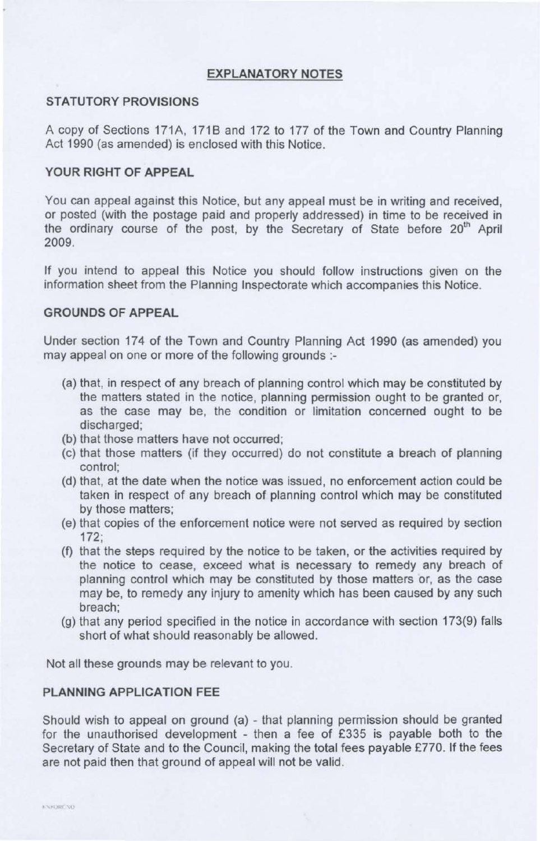### **EXPLANATORY NOTES**

#### **STATUTORY PROVISIONS**

A copy of Sections 171A, 1718 and 172 to 177 of the Town and Country Planning Act 1990 (as amended) is enclosed with this Notice.

#### **YOUR RIGHT OF APPEAL**

You can appeal against this Notice, but any appeal must be in writing and received, or posted (with the postage paid and properly addressed) in time to be received in the ordinary course of the post, by the Secretary of State before 20<sup>th</sup> April 2009.

If you intend to appeal this Notice you should follow instructions given on the information sheet from the Planning Inspectorate which accompanies this Notice.

#### **GROUNDS OF APPEAL**

Under section 174 of the Town and Country Planning Act 1990 (as amended) you may appeal on one or more of the following grounds :-

- (a) that, in respect of any breach of planning control which may be constituted by the matters stated in the notice, planning permission ought to be granted or, as the case may be, the condition or limitation concerned ought to be discharged;
- (b) that those matters have not occurred;
- (c) that those matters (if they occurred) do not constitute a breach of planning control;
- (d) that, at the date when the notice was issued, no enforcement action could be taken in respect of any breach of planning control which may be constituted by those matters;
- (e) that copies of the enforcement notice were not served as required by section 172;
- (f) that the steps required by the notice to be taken, or the activities required by the notice to cease, exceed what is necessary to remedy any breach of planning control which may be constituted by those matters or, as the case may be, to remedy any injury to amenity which has been caused by any such breach;
- (g) that any period specified in the notice in accordance with section 173(9) falls short of what should reasonably be allowed.

Not all these grounds may be relevant to you.

#### **PLANNING APPLICATION FEE**

Should wish to appeal on ground (a) - that planning permission should be granted for the unauthorised development - then a fee of £335 is payable both to the Secretary of State and to the Council, making the total fees payable £770. If the fees are not paid then that ground of appeal will not be valid.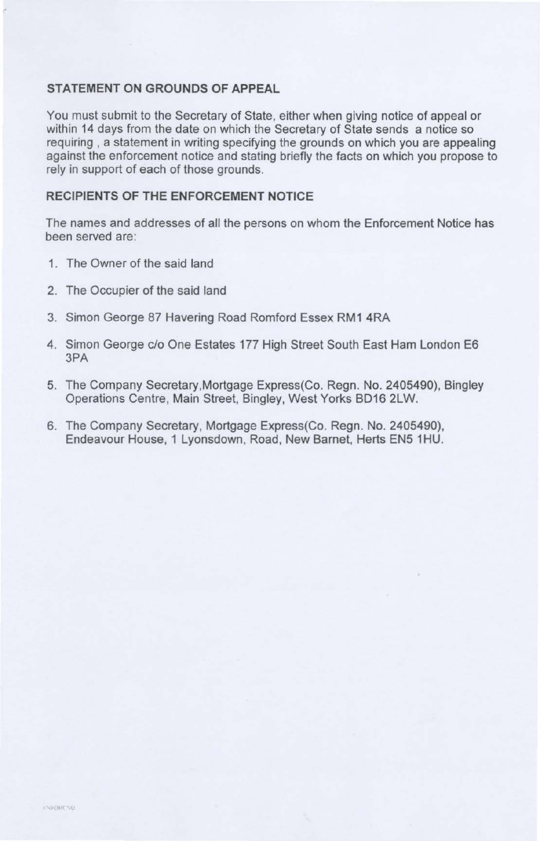### **STATEMENT ON GROUNDS OF APPEAL**

You must submit to the Secretary of State, either when giving notice of appeal or within 14 days from the date on which the Secretary of State sends a notice so requiring , a statement in writing specifying the grounds on which you are appealing against the enforcement notice and stating briefly the facts on which you propose to rely in support of each of those grounds.

## **RECIPIENTS OF THE ENFORCEMENT NOTICE**

The names and addresses of all the persons on whom the Enforcement Notice has been served are:

- 1. The Owner of the said land
- 2. The Occupier of the said land
- 3. Simon George 87 Havering Road Romford Essex RM1 4RA
- 4. Simon George c/o One Estates 177 High Street South East Ham London E6 3PA
- 5. The Company Secretary, Mortgage Express(Co. Regn. No. 2405490), Bingley Operations Centre, Main Street, Bingley, West Yorks BD16 2LW.
- 6. The Company Secretary, Mortgage Express(Co. Regn. No. 2405490), Endeavour House, 1 Lyonsdown, Road, New Barnet, Herts EN5 1 HU.